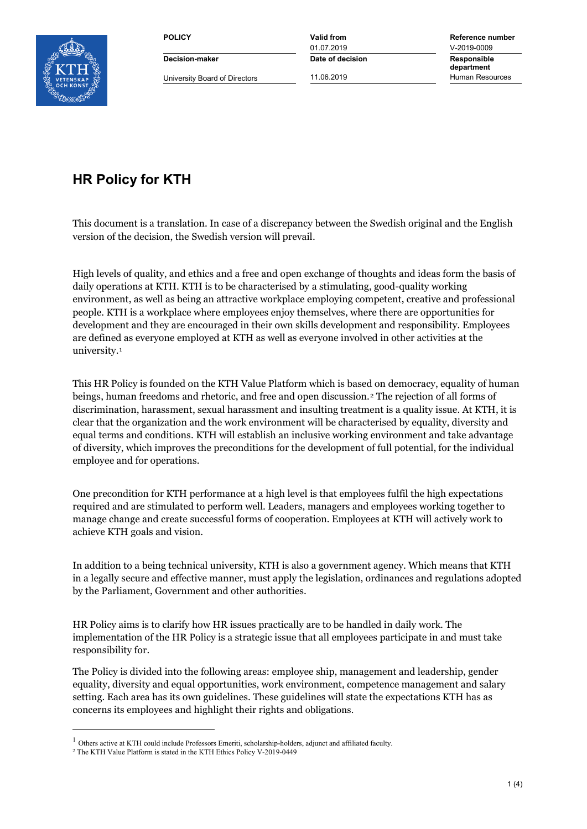

University Board of Directors **11.06.2019** 11.06.2019 Human Resources

01.07.2019 V-2019-0009 **Decision-maker Date of decision Responsible** 

**POLICY Valid from Reference number department**

# **HR Policy for KTH**

This document is a translation. In case of a discrepancy between the Swedish original and the English version of the decision, the Swedish version will prevail.

High levels of quality, and ethics and a free and open exchange of thoughts and ideas form the basis of daily operations at KTH. KTH is to be characterised by a stimulating, good-quality working environment, as well as being an attractive workplace employing competent, creative and professional people. KTH is a workplace where employees enjoy themselves, where there are opportunities for development and they are encouraged in their own skills development and responsibility. Employees are defined as everyone employed at KTH as well as everyone involved in other activities at the university.[1](#page-0-0)

This HR Policy is founded on the KTH Value Platform which is based on democracy, equality of human beings, human freedoms and rhetoric, and free and open discussion.[2](#page-0-1) The rejection of all forms of discrimination, harassment, sexual harassment and insulting treatment is a quality issue. At KTH, it is clear that the organization and the work environment will be characterised by equality, diversity and equal terms and conditions. KTH will establish an inclusive working environment and take advantage of diversity, which improves the preconditions for the development of full potential, for the individual employee and for operations.

One precondition for KTH performance at a high level is that employees fulfil the high expectations required and are stimulated to perform well. Leaders, managers and employees working together to manage change and create successful forms of cooperation. Employees at KTH will actively work to achieve KTH goals and vision.

In addition to a being technical university, KTH is also a government agency. Which means that KTH in a legally secure and effective manner, must apply the legislation, ordinances and regulations adopted by the Parliament, Government and other authorities.

HR Policy aims is to clarify how HR issues practically are to be handled in daily work. The implementation of the HR Policy is a strategic issue that all employees participate in and must take responsibility for.

The Policy is divided into the following areas: employee ship, management and leadership, gender equality, diversity and equal opportunities, work environment, competence management and salary setting. Each area has its own guidelines. These guidelines will state the expectations KTH has as concerns its employees and highlight their rights and obligations.

 $\overline{a}$ 

<span id="page-0-0"></span> $1$  Others active at KTH could include Professors Emeriti, scholarship-holders, adjunct and affiliated faculty.

<span id="page-0-1"></span><sup>&</sup>lt;sup>2</sup> The KTH Value Platform is stated in the KTH Ethics Policy V-2019-0449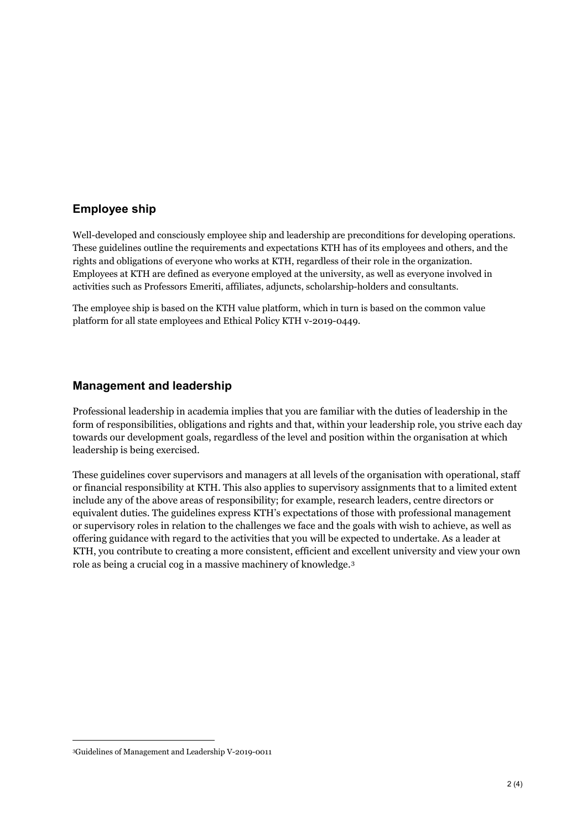## **Employee ship**

Well-developed and consciously employee ship and leadership are preconditions for developing operations. These guidelines outline the requirements and expectations KTH has of its employees and others, and the rights and obligations of everyone who works at KTH, regardless of their role in the organization. Employees at KTH are defined as everyone employed at the university, as well as everyone involved in activities such as Professors Emeriti, affiliates, adjuncts, scholarship-holders and consultants.

The employee ship is based on the KTH value platform, which in turn is based on the common value platform for all state employees and Ethical Policy KTH v-2019-0449.

#### **Management and leadership**

Professional leadership in academia implies that you are familiar with the duties of leadership in the form of responsibilities, obligations and rights and that, within your leadership role, you strive each day towards our development goals, regardless of the level and position within the organisation at which leadership is being exercised.

These guidelines cover supervisors and managers at all levels of the organisation with operational, staff or financial responsibility at KTH. This also applies to supervisory assignments that to a limited extent include any of the above areas of responsibility; for example, research leaders, centre directors or equivalent duties. The guidelines express KTH's expectations of those with professional management or supervisory roles in relation to the challenges we face and the goals with wish to achieve, as well as offering guidance with regard to the activities that you will be expected to undertake. As a leader at KTH, you contribute to creating a more consistent, efficient and excellent university and view your own role as being a crucial cog in a massive machinery of knowledge.[3](#page-1-0)

<span id="page-1-0"></span> <sup>3</sup>Guidelines of Management and Leadership V-2019-0011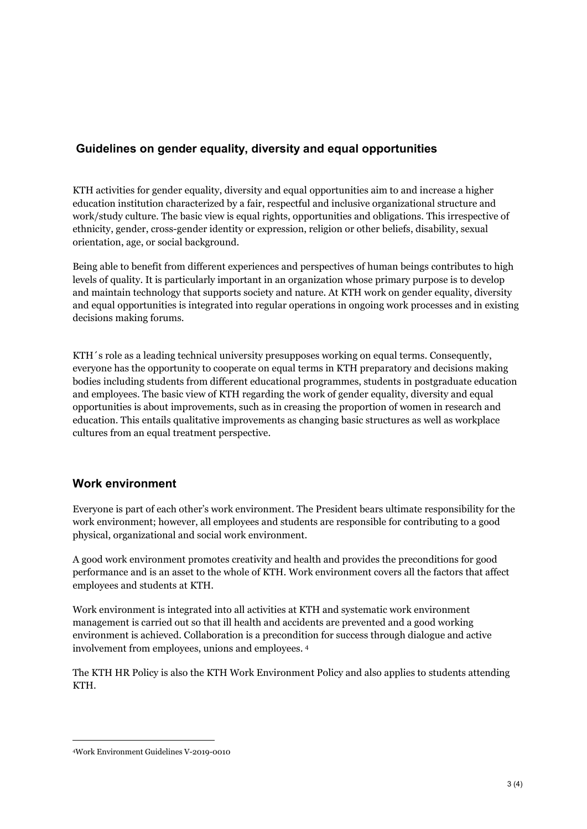# **Guidelines on gender equality, diversity and equal opportunities**

KTH activities for gender equality, diversity and equal opportunities aim to and increase a higher education institution characterized by a fair, respectful and inclusive organizational structure and work/study culture. The basic view is equal rights, opportunities and obligations. This irrespective of ethnicity, gender, cross-gender identity or expression, religion or other beliefs, disability, sexual orientation, age, or social background.

Being able to benefit from different experiences and perspectives of human beings contributes to high levels of quality. It is particularly important in an organization whose primary purpose is to develop and maintain technology that supports society and nature. At KTH work on gender equality, diversity and equal opportunities is integrated into regular operations in ongoing work processes and in existing decisions making forums.

KTH´s role as a leading technical university presupposes working on equal terms. Consequently, everyone has the opportunity to cooperate on equal terms in KTH preparatory and decisions making bodies including students from different educational programmes, students in postgraduate education and employees. The basic view of KTH regarding the work of gender equality, diversity and equal opportunities is about improvements, such as in creasing the proportion of women in research and education. This entails qualitative improvements as changing basic structures as well as workplace cultures from an equal treatment perspective.

# **Work environment**

Everyone is part of each other's work environment. The President bears ultimate responsibility for the work environment; however, all employees and students are responsible for contributing to a good physical, organizational and social work environment.

A good work environment promotes creativity and health and provides the preconditions for good performance and is an asset to the whole of KTH. Work environment covers all the factors that affect employees and students at KTH.

Work environment is integrated into all activities at KTH and systematic work environment management is carried out so that ill health and accidents are prevented and a good working environment is achieved. Collaboration is a precondition for success through dialogue and active involvement from employees, unions and employees. [4](#page-2-0)

The KTH HR Policy is also the KTH Work Environment Policy and also applies to students attending KTH.

<span id="page-2-0"></span> <sup>4</sup>Work Environment Guidelines V-2019-0010